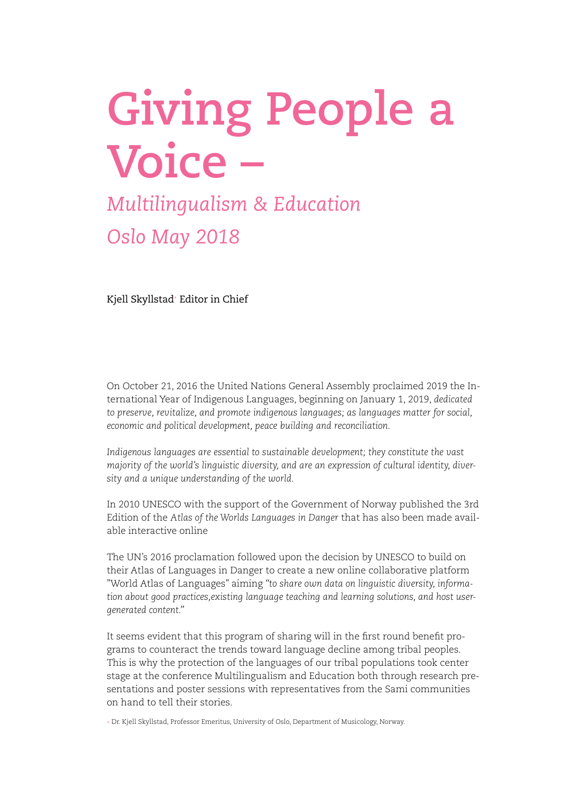# **Giving People a Voice –**

# *Multilingualism & Education Oslo May 2018*

Kjell Skyllstad+ Editor in Chief

On October 21, 2016 the United Nations General Assembly proclaimed 2019 the International Year of Indigenous Languages, beginning on January 1, 2019, *dedicated to preserve, revitalize, and promote indigenous languages; as languages matter for social, economic and political development, peace building and reconciliation.* 

*Indigenous languages are essential to sustainable development; they constitute the vast majority of the world's linguistic diversity, and are an expression of cultural identity, diversity and a unique understanding of the world.*

In 2010 UNESCO with the support of the Government of Norway published the 3rd Edition of the *Atlas of the Worlds Languages in Danger* that has also been made available interactive online

The UN's 2016 proclamation followed upon the decision by UNESCO to build on their Atlas of Languages in Danger to create a new online collaborative platform "World Atlas of Languages" aiming *"to share own data on linguistic diversity, information about good practices,existing language teaching and learning solutions, and host usergenerated content."*

It seems evident that this program of sharing will in the first round benefit programs to counteract the trends toward language decline among tribal peoples. This is why the protection of the languages of our tribal populations took center stage at the conference Multilingualism and Education both through research presentations and poster sessions with representatives from the Sami communities on hand to tell their stories.

+ Dr. Kjell Skyllstad, Professor Emeritus, University of Oslo, Department of Musicology, Norway.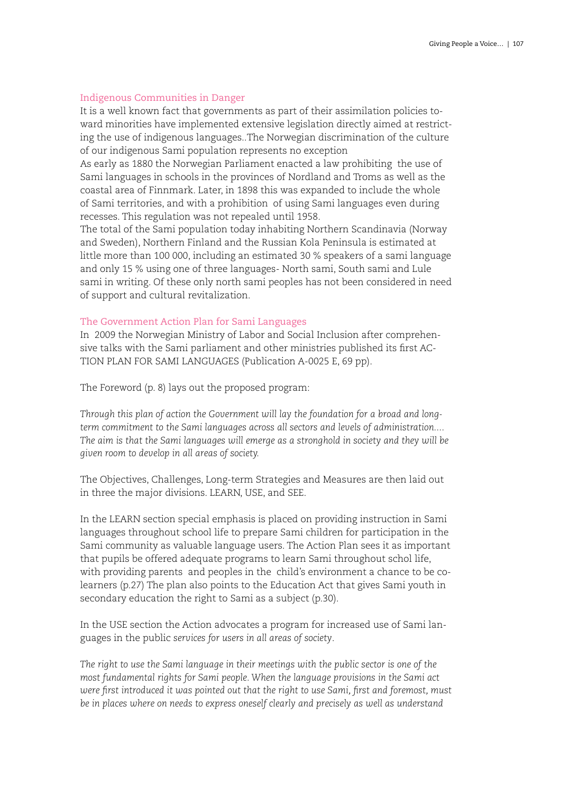## Indigenous Communities in Danger

It is a well known fact that governments as part of their assimilation policies toward minorities have implemented extensive legislation directly aimed at restricting the use of indigenous languages..The Norwegian discrimination of the culture of our indigenous Sami population represents no exception

As early as 1880 the Norwegian Parliament enacted a law prohibiting the use of Sami languages in schools in the provinces of Nordland and Troms as well as the coastal area of Finnmark. Later, in 1898 this was expanded to include the whole of Sami territories, and with a prohibition of using Sami languages even during recesses. This regulation was not repealed until 1958.

The total of the Sami population today inhabiting Northern Scandinavia (Norway and Sweden), Northern Finland and the Russian Kola Peninsula is estimated at little more than 100 000, including an estimated 30 % speakers of a sami language and only 15 % using one of three languages- North sami, South sami and Lule sami in writing. Of these only north sami peoples has not been considered in need of support and cultural revitalization.

#### The Government Action Plan for Sami Languages

In 2009 the Norwegian Ministry of Labor and Social Inclusion after comprehensive talks with the Sami parliament and other ministries published its first AC-TION PLAN FOR SAMI LANGUAGES (Publication A-0025 E, 69 pp).

The Foreword (p. 8) lays out the proposed program:

*Through this plan of action the Government will lay the foundation for a broad and longterm commitment to the Sami languages across all sectors and levels of administration.... The aim is that the Sami languages will emerge as a stronghold in society and they will be given room to develop in all areas of society.*

The Objectives, Challenges, Long-term Strategies and Measures are then laid out in three the major divisions. LEARN, USE, and SEE.

In the LEARN section special emphasis is placed on providing instruction in Sami languages throughout school life to prepare Sami children for participation in the Sami community as valuable language users. The Action Plan sees it as important that pupils be offered adequate programs to learn Sami throughout schol life, with providing parents and peoples in the child's environment a chance to be colearners (p.27) The plan also points to the Education Act that gives Sami youth in secondary education the right to Sami as a subject (p.30).

In the USE section the Action advocates a program for increased use of Sami languages in the public *services for users in all areas of society*.

*The right to use the Sami language in their meetings with the public sector is one of the most fundamental rights for Sami people. When the language provisions in the Sami act were first introduced it was pointed out that the right to use Sami, first and foremost, must be in places where on needs to express oneself clearly and precisely as well as understand*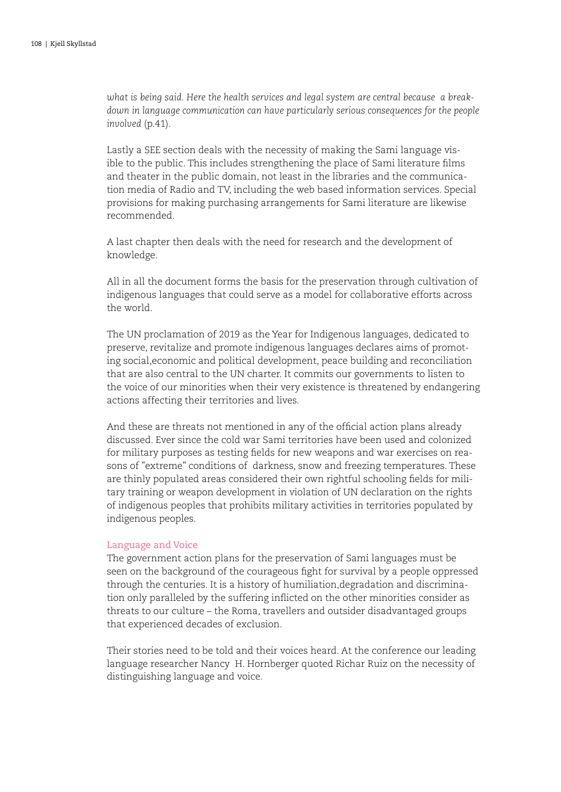*what is being said. Here the health services and legal system are central because a breakdown in language communication can have particularly serious consequences for the people involved* (p.41).

Lastly a SEE section deals with the necessity of making the Sami language visible to the public. This includes strengthening the place of Sami literature films and theater in the public domain, not least in the libraries and the communication media of Radio and TV, including the web based information services. Special provisions for making purchasing arrangements for Sami literature are likewise recommended.

A last chapter then deals with the need for research and the development of knowledge.

All in all the document forms the basis for the preservation through cultivation of indigenous languages that could serve as a model for collaborative efforts across the world.

The UN proclamation of 2019 as the Year for Indigenous languages, dedicated to preserve, revitalize and promote indigenous languages declares aims of promoting social,economic and political development, peace building and reconciliation that are also central to the UN charter. It commits our governments to listen to the voice of our minorities when their very existence is threatened by endangering actions affecting their territories and lives.

And these are threats not mentioned in any of the official action plans already discussed. Ever since the cold war Sami territories have been used and colonized for military purposes as testing fields for new weapons and war exercises on reasons of "extreme" conditions of darkness, snow and freezing temperatures. These are thinly populated areas considered their own rightful schooling fields for military training or weapon development in violation of UN declaration on the rights of indigenous peoples that prohibits military activities in territories populated by indigenous peoples.

#### Language and Voice

The government action plans for the preservation of Sami languages must be seen on the background of the courageous fight for survival by a people oppressed through the centuries. It is a history of humiliation,degradation and discrimination only paralleled by the suffering inflicted on the other minorities consider as threats to our culture – the Roma, travellers and outsider disadvantaged groups that experienced decades of exclusion.

Their stories need to be told and their voices heard. At the conference our leading language researcher Nancy H. Hornberger quoted Richar Ruiz on the necessity of distinguishing language and voice.